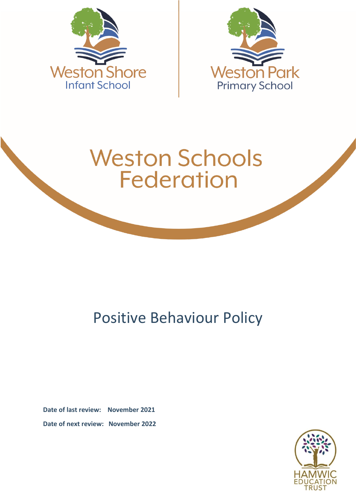



# **Weston Schools Federation**

# Positive Behaviour Policy

**Date of last review: November 2021 Date of next review: November 2022**

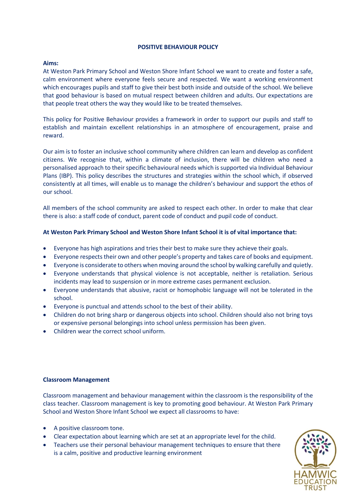#### **POSITIVE BEHAVIOUR POLICY**

# **Aims:**

At Weston Park Primary School and Weston Shore Infant School we want to create and foster a safe, calm environment where everyone feels secure and respected. We want a working environment which encourages pupils and staff to give their best both inside and outside of the school. We believe that good behaviour is based on mutual respect between children and adults. Our expectations are that people treat others the way they would like to be treated themselves.

This policy for Positive Behaviour provides a framework in order to support our pupils and staff to establish and maintain excellent relationships in an atmosphere of encouragement, praise and reward.

Our aim is to foster an inclusive school community where children can learn and develop as confident citizens. We recognise that, within a climate of inclusion, there will be children who need a personalised approach to their specific behavioural needs which is supported via Individual Behaviour Plans (IBP). This policy describes the structures and strategies within the school which, if observed consistently at all times, will enable us to manage the children's behaviour and support the ethos of our school.

All members of the school community are asked to respect each other. In order to make that clear there is also: a staff code of conduct, parent code of conduct and pupil code of conduct.

# **At Weston Park Primary School and Weston Shore Infant School it is of vital importance that:**

- Everyone has high aspirations and tries their best to make sure they achieve their goals.
- Everyone respects their own and other people's property and takes care of books and equipment.
- Everyone is considerate to others when moving around the school by walking carefully and quietly.
- Everyone understands that physical violence is not acceptable, neither is retaliation. Serious incidents may lead to suspension or in more extreme cases permanent exclusion.
- Everyone understands that abusive, racist or homophobic language will not be tolerated in the school.
- Everyone is punctual and attends school to the best of their ability.
- Children do not bring sharp or dangerous objects into school. Children should also not bring toys or expensive personal belongings into school unless permission has been given.
- Children wear the correct school uniform.

# **Classroom Management**

Classroom management and behaviour management within the classroom is the responsibility of the class teacher. Classroom management is key to promoting good behaviour. At Weston Park Primary School and Weston Shore Infant School we expect all classrooms to have:

- A positive classroom tone.
- Clear expectation about learning which are set at an appropriate level for the child.
- Teachers use their personal behaviour management techniques to ensure that there is a calm, positive and productive learning environment

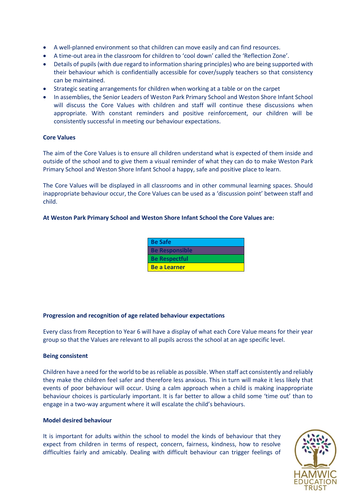- A well-planned environment so that children can move easily and can find resources.
- A time-out area in the classroom for children to 'cool down' called the 'Reflection Zone'.
- Details of pupils (with due regard to information sharing principles) who are being supported with their behaviour which is confidentially accessible for cover/supply teachers so that consistency can be maintained.
- Strategic seating arrangements for children when working at a table or on the carpet
- In assemblies, the Senior Leaders of Weston Park Primary School and Weston Shore Infant School will discuss the Core Values with children and staff will continue these discussions when appropriate. With constant reminders and positive reinforcement, our children will be consistently successful in meeting our behaviour expectations.

# **Core Values**

The aim of the Core Values is to ensure all children understand what is expected of them inside and outside of the school and to give them a visual reminder of what they can do to make Weston Park Primary School and Weston Shore Infant School a happy, safe and positive place to learn.

The Core Values will be displayed in all classrooms and in other communal learning spaces. Should inappropriate behaviour occur, the Core Values can be used as a 'discussion point' between staff and child.

# **At Weston Park Primary School and Weston Shore Infant School the Core Values are:**

| <b>Be Safe</b>        |  |
|-----------------------|--|
| <b>Be Responsible</b> |  |
| <b>Be Respectful</b>  |  |
| <b>Be a Learner</b>   |  |

# **Progression and recognition of age related behaviour expectations**

Every class from Reception to Year 6 will have a display of what each Core Value means for their year group so that the Values are relevant to all pupils across the school at an age specific level.

# **Being consistent**

Children have a need for the world to be as reliable as possible. When staff act consistently and reliably they make the children feel safer and therefore less anxious. This in turn will make it less likely that events of poor behaviour will occur. Using a calm approach when a child is making inappropriate behaviour choices is particularly important. It is far better to allow a child some 'time out' than to engage in a two-way argument where it will escalate the child's behaviours.

# **Model desired behaviour**

It is important for adults within the school to model the kinds of behaviour that they expect from children in terms of respect, concern, fairness, kindness, how to resolve difficulties fairly and amicably. Dealing with difficult behaviour can trigger feelings of

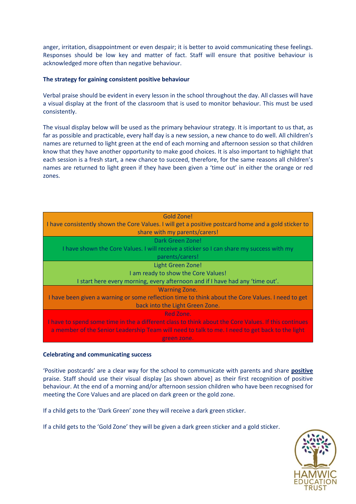anger, irritation, disappointment or even despair; it is better to avoid communicating these feelings. Responses should be low key and matter of fact. Staff will ensure that positive behaviour is acknowledged more often than negative behaviour.

# **The strategy for gaining consistent positive behaviour**

Verbal praise should be evident in every lesson in the school throughout the day. All classes will have a visual display at the front of the classroom that is used to monitor behaviour. This must be used consistently.

The visual display below will be used as the primary behaviour strategy. It is important to us that, as far as possible and practicable, every half day is a new session, a new chance to do well. All children's names are returned to light green at the end of each morning and afternoon session so that children know that they have another opportunity to make good choices. It is also important to highlight that each session is a fresh start, a new chance to succeed, therefore, for the same reasons all children's names are returned to light green if they have been given a 'time out' in either the orange or red zones.

| Gold Zone!                                                                                           |
|------------------------------------------------------------------------------------------------------|
| I have consistently shown the Core Values. I will get a positive postcard home and a gold sticker to |
| share with my parents/carers!                                                                        |
| Dark Green Zone!                                                                                     |
| I have shown the Core Values. I will receive a sticker so I can share my success with my             |
| parents/carers!                                                                                      |
| Light Green Zone!                                                                                    |
| I am ready to show the Core Values!                                                                  |
| I start here every morning, every afternoon and if I have had any 'time out'.                        |
| <b>Warning Zone.</b>                                                                                 |
| I have been given a warning or some reflection time to think about the Core Values. I need to get    |
| back into the Light Green Zone.                                                                      |
| Red Zone.                                                                                            |
| I have to spend some time in the a different class to think about the Core Values. If this continues |
| a member of the Senior Leadership Team will need to talk to me. I need to get back to the light      |
| green zone.                                                                                          |

#### **Celebrating and communicating success**

'Positive postcards' are a clear way for the school to communicate with parents and share **positive** praise. Staff should use their visual display [as shown above] as their first recognition of positive behaviour. At the end of a morning and/or afternoon session children who have been recognised for meeting the Core Values and are placed on dark green or the gold zone.

If a child gets to the 'Dark Green' zone they will receive a dark green sticker.

If a child gets to the 'Gold Zone' they will be given a dark green sticker and a gold sticker.

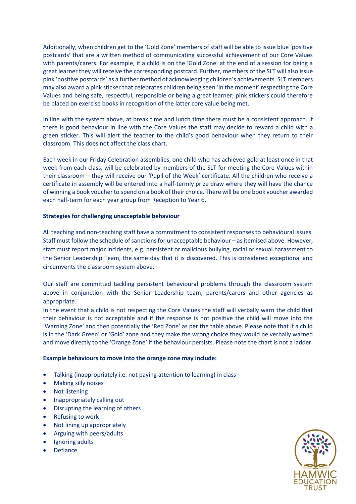Additionally, when children get to the 'Gold Zone' members of staff will be able to issue blue 'positive postcards' that are a written method of communicating successful achievement of our Core Values with parents/carers. For example, if a child is on the 'Gold Zone' at the end of a session for being a great learner they will receive the corresponding postcard. Further, members of the SLT will also issue pink 'positive postcards' as a further method of acknowledging children's achievements. SLT members may also award a pink sticker that celebrates children being seen 'in the moment' respecting the Core Values and being safe, respectful, responsible or being a great learner; pink stickers could therefore be placed on exercise books in recognition of the latter core value being met.

In line with the system above, at break time and lunch time there must be a consistent approach. If there is good behaviour in line with the Core Values the staff may decide to reward a child with a green sticker. This will alert the teacher to the child's good behaviour when they return to their classroom. This does not affect the class chart.

Each week in our Friday Celebration assemblies, one child who has achieved gold at least once in that week from each class, will be celebrated by members of the SLT for meeting the Core Values within their classroom – they will receive our 'Pupil of the Week' certificate. All the children who receive a certificate in assembly will be entered into a half-termly prize draw where they will have the chance of winning a book voucher to spend on a book of their choice. There will be one book voucher awarded each half-term for each year group from Reception to Year 6.

# **Strategies for challenging unacceptable behaviour**

All teaching and non-teaching staff have a commitment to consistent responses to behavioural issues. Staff must follow the schedule of sanctions for unacceptable behaviour – as itemised above. However, staff must report major incidents, e.g. persistent or malicious bullying, racial or sexual harassment to the Senior Leadership Team, the same day that it is discovered. This is considered exceptional and circumvents the classroom system above.

Our staff are committed tackling persistent behavioural problems through the classroom system above in conjunction with the Senior Leadership team, parents/carers and other agencies as appropriate.

In the event that a child is not respecting the Core Values the staff will verbally warn the child that their behaviour is not acceptable and if the response is not positive the child will move into the 'Warning Zone' and then potentially the 'Red Zone' as per the table above. Please note that if a child is in the 'Dark Green' or 'Gold' zone and they make the wrong choice they would be verbally warned and move directly to the 'Orange Zone' if the behaviour persists. Please note the chart is not a ladder.

# **Example behaviours to move into the orange zone may include:**

- Talking (inappropriately i.e. not paying attention to learning) in class
- Making silly noises
- Not listening
- Inappropriately calling out
- Disrupting the learning of others
- Refusing to work
- Not lining up appropriately
- Arguing with peers/adults
- Ignoring adults
- Defiance

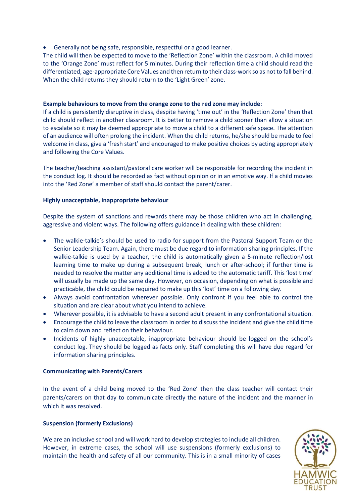Generally not being safe, responsible, respectful or a good learner.

The child will then be expected to move to the 'Reflection Zone' within the classroom. A child moved to the 'Orange Zone' must reflect for 5 minutes. During their reflection time a child should read the differentiated, age-appropriate Core Values and then return to their class-work so as not to fall behind. When the child returns they should return to the 'Light Green' zone.

# **Example behaviours to move from the orange zone to the red zone may include:**

If a child is persistently disruptive in class, despite having 'time out' in the 'Reflection Zone' then that child should reflect in another classroom. It is better to remove a child sooner than allow a situation to escalate so it may be deemed appropriate to move a child to a different safe space. The attention of an audience will often prolong the incident. When the child returns, he/she should be made to feel welcome in class, give a 'fresh start' and encouraged to make positive choices by acting appropriately and following the Core Values.

The teacher/teaching assistant/pastoral care worker will be responsible for recording the incident in the conduct log. It should be recorded as fact without opinion or in an emotive way. If a child movies into the 'Red Zone' a member of staff should contact the parent/carer.

# **Highly unacceptable, inappropriate behaviour**

Despite the system of sanctions and rewards there may be those children who act in challenging, aggressive and violent ways. The following offers guidance in dealing with these children:

- The walkie-talkie's should be used to radio for support from the Pastoral Support Team or the Senior Leadership Team. Again, there must be due regard to information sharing principles. If the walkie-talkie is used by a teacher, the child is automatically given a 5-minute reflection/lost learning time to make up during a subsequent break, lunch or after-school; if further time is needed to resolve the matter any additional time is added to the automatic tariff. This 'lost time' will usually be made up the same day. However, on occasion, depending on what is possible and practicable, the child could be required to make up this 'lost' time on a following day.
- Always avoid confrontation wherever possible. Only confront if you feel able to control the situation and are clear about what you intend to achieve.
- Wherever possible, it is advisable to have a second adult present in any confrontational situation.
- Encourage the child to leave the classroom in order to discuss the incident and give the child time to calm down and reflect on their behaviour.
- Incidents of highly unacceptable, inappropriate behaviour should be logged on the school's conduct log. They should be logged as facts only. Staff completing this will have due regard for information sharing principles.

# **Communicating with Parents/Carers**

In the event of a child being moved to the 'Red Zone' then the class teacher will contact their parents/carers on that day to communicate directly the nature of the incident and the manner in which it was resolved.

# **Suspension (formerly Exclusions)**

We are an inclusive school and will work hard to develop strategies to include all children. However, in extreme cases, the school will use suspensions (formerly exclusions) to maintain the health and safety of all our community. This is in a small minority of cases

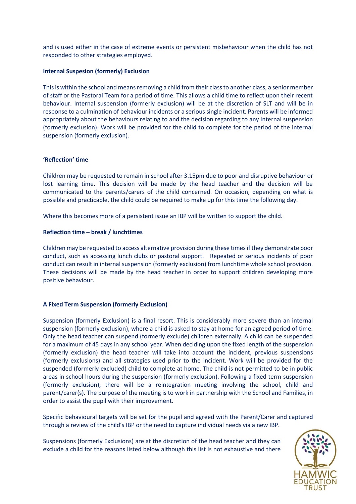and is used either in the case of extreme events or persistent misbehaviour when the child has not responded to other strategies employed.

#### **Internal Suspesion (formerly) Exclusion**

This is within the school and means removing a child from their class to another class, a senior member of staff or the Pastoral Team for a period of time. This allows a child time to reflect upon their recent behaviour. Internal suspension (formerly exclusion) will be at the discretion of SLT and will be in response to a culmination of behaviour incidents or a serious single incident. Parents will be informed appropriately about the behaviours relating to and the decision regarding to any internal suspension (formerly exclusion). Work will be provided for the child to complete for the period of the internal suspension (formerly exclusion).

#### **'Reflection' time**

Children may be requested to remain in school after 3.15pm due to poor and disruptive behaviour or lost learning time. This decision will be made by the head teacher and the decision will be communicated to the parents/carers of the child concerned. On occasion, depending on what is possible and practicable, the child could be required to make up for this time the following day.

Where this becomes more of a persistent issue an IBP will be written to support the child.

#### **Reflection time – break / lunchtimes**

Children may be requested to access alternative provision during these times if they demonstrate poor conduct, such as accessing lunch clubs or pastoral support. Repeated or serious incidents of poor conduct can result in internal suspension (formerly exclusion) from lunchtime whole school provision. These decisions will be made by the head teacher in order to support children developing more positive behaviour.

#### **A Fixed Term Suspension (formerly Exclusion)**

Suspension (formerly Exclusion) is a final resort. This is considerably more severe than an internal suspension (formerly exclusion), where a child is asked to stay at home for an agreed period of time. Only the head teacher can suspend (formerly exclude) children externally. A child can be suspended for a maximum of 45 days in any school year. When deciding upon the fixed length of the suspension (formerly exclusion) the head teacher will take into account the incident, previous suspensions (formerly exclusions) and all strategies used prior to the incident. Work will be provided for the suspended (formerly excluded) child to complete at home. The child is not permitted to be in public areas in school hours during the suspension (formerly exclusion). Following a fixed term suspension (formerly exclusion), there will be a reintegration meeting involving the school, child and parent/carer(s). The purpose of the meeting is to work in partnership with the School and Families, in order to assist the pupil with their improvement.

Specific behavioural targets will be set for the pupil and agreed with the Parent/Carer and captured through a review of the child's IBP or the need to capture individual needs via a new IBP.

Suspensions (formerly Exclusions) are at the discretion of the head teacher and they can exclude a child for the reasons listed below although this list is not exhaustive and there

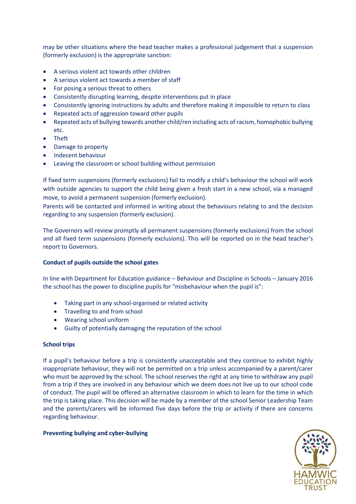may be other situations where the head teacher makes a professional judgement that a suspension (formerly exclusion) is the appropriate sanction:

- A serious violent act towards other children
- A serious violent act towards a member of staff
- For posing a serious threat to others
- Consistently disrupting learning, despite interventions put in place
- Consistently ignoring instructions by adults and therefore making it impossible to return to class
- Repeated acts of aggression toward other pupils
- Repeated acts of bullying towards another child/ren including acts of racism, homophobic bullying etc.
- Theft
- Damage to property
- Indecent behaviour
- Leaving the classroom or school building without permission

If fixed term suspensions (formerly exclusions) fail to modify a child's behaviour the school will work with outside agencies to support the child being given a fresh start in a new school, via a managed move, to avoid a permanent suspension (formerly exclusion).

Parents will be contacted and informed in writing about the behaviours relating to and the decision regarding to any suspension (formerly exclusion).

The Governors will review promptly all permanent suspensions (formerly exclusions) from the school and all fixed term suspensions (formerly exclusions). This will be reported on in the head teacher's report to Governors.

# **Conduct of pupils outside the school gates**

In line with Department for Education guidance – Behaviour and Discipline in Schools – January 2016 the school has the power to discipline pupils for "misbehaviour when the pupil is":

- Taking part in any school-organised or related activity
- Travelling to and from school
- Wearing school uniform
- Guilty of potentially damaging the reputation of the school

# **School trips**

If a pupil's behaviour before a trip is consistently unacceptable and they continue to exhibit highly inappropriate behaviour, they will not be permitted on a trip unless accompanied by a parent/carer who must be approved by the school. The school reserves the right at any time to withdraw any pupil from a trip if they are involved in any behaviour which we deem does not live up to our school code of conduct. The pupil will be offered an alternative classroom in which to learn for the time in which the trip is taking place. This decision will be made by a member of the school Senior Leadership Team and the parents/carers will be informed five days before the trip or activity if there are concerns regarding behaviour.

# **Preventing bullying and cyber-bullying**

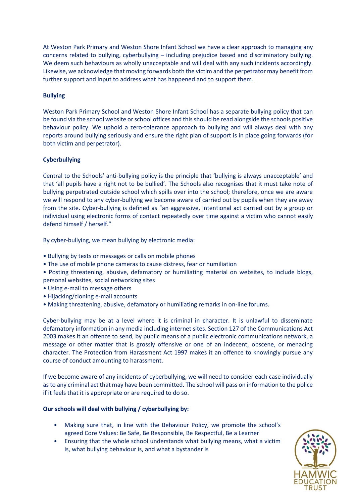At Weston Park Primary and Weston Shore Infant School we have a clear approach to managing any concerns related to bullying, cyberbullying – including prejudice based and discriminatory bullying. We deem such behaviours as wholly unacceptable and will deal with any such incidents accordingly. Likewise, we acknowledge that moving forwards both the victim and the perpetrator may benefit from further support and input to address what has happened and to support them.

# **Bullying**

Weston Park Primary School and Weston Shore Infant School has a separate bullying policy that can be found via the school website or school offices and this should be read alongside the schools positive behaviour policy. We uphold a zero-tolerance approach to bullying and will always deal with any reports around bullying seriously and ensure the right plan of support is in place going forwards (for both victim and perpetrator).

# **Cyberbullying**

Central to the Schools' anti-bullying policy is the principle that 'bullying is always unacceptable' and that 'all pupils have a right not to be bullied'. The Schools also recognises that it must take note of bullying perpetrated outside school which spills over into the school; therefore, once we are aware we will respond to any cyber-bullying we become aware of carried out by pupils when they are away from the site. Cyber-bullying is defined as "an aggressive, intentional act carried out by a group or individual using electronic forms of contact repeatedly over time against a victim who cannot easily defend himself / herself."

By cyber-bullying, we mean bullying by electronic media:

- Bullying by texts or messages or calls on mobile phones
- The use of mobile phone cameras to cause distress, fear or humiliation
- Posting threatening, abusive, defamatory or humiliating material on websites, to include blogs, personal websites, social networking sites
- Using e-mail to message others
- Hijacking/cloning e-mail accounts
- Making threatening, abusive, defamatory or humiliating remarks in on-line forums.

Cyber-bullying may be at a level where it is criminal in character. It is unlawful to disseminate defamatory information in any media including internet sites. Section 127 of the Communications Act 2003 makes it an offence to send, by public means of a public electronic communications network, a message or other matter that is grossly offensive or one of an indecent, obscene, or menacing character. The Protection from Harassment Act 1997 makes it an offence to knowingly pursue any course of conduct amounting to harassment.

If we become aware of any incidents of cyberbullying, we will need to consider each case individually as to any criminal act that may have been committed. The school will pass on information to the police if it feels that it is appropriate or are required to do so.

# **Our schools will deal with bullying / cyberbullying by:**

- Making sure that, in line with the Behaviour Policy, we promote the school's agreed Core Values: Be Safe, Be Responsible, Be Respectful, Be a Learner
- Ensuring that the whole school understands what bullying means, what a victim is, what bullying behaviour is, and what a bystander is

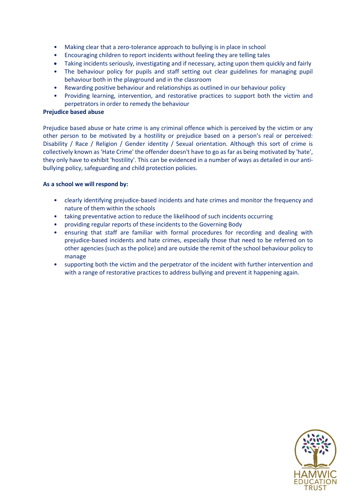- Making clear that a zero-tolerance approach to bullying is in place in school
- Encouraging children to report incidents without feeling they are telling tales
- Taking incidents seriously, investigating and if necessary, acting upon them quickly and fairly
- The behaviour policy for pupils and staff setting out clear guidelines for managing pupil behaviour both in the playground and in the classroom
- Rewarding positive behaviour and relationships as outlined in our behaviour policy
- Providing learning, intervention, and restorative practices to support both the victim and perpetrators in order to remedy the behaviour

# **Prejudice based abuse**

Prejudice based abuse or hate crime is any criminal offence which is perceived by the victim or any other person to be motivated by a hostility or prejudice based on a person's real or perceived: Disability / Race / Religion / Gender identity / Sexual orientation. Although this sort of crime is collectively known as 'Hate Crime' the offender doesn't have to go as far as being motivated by 'hate', they only have to exhibit 'hostility'. This can be evidenced in a number of ways as detailed in our antibullying policy, safeguarding and child protection policies.

# **As a school we will respond by:**

- clearly identifying prejudice-based incidents and hate crimes and monitor the frequency and nature of them within the schools
- taking preventative action to reduce the likelihood of such incidents occurring
- providing regular reports of these incidents to the Governing Body
- ensuring that staff are familiar with formal procedures for recording and dealing with prejudice-based incidents and hate crimes, especially those that need to be referred on to other agencies (such as the police) and are outside the remit of the school behaviour policy to manage
- supporting both the victim and the perpetrator of the incident with further intervention and with a range of restorative practices to address bullying and prevent it happening again.